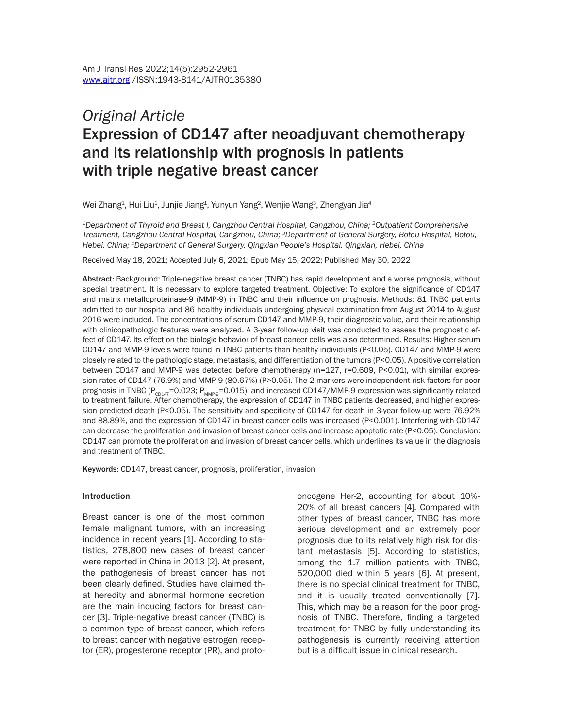# *Original Article* Expression of CD147 after neoadjuvant chemotherapy and its relationship with prognosis in patients with triple negative breast cancer

Wei Zhang $^{\rm 1}$ , Hui Liu $^{\rm 1}$ , Junjie Jiang $^{\rm 1}$ , Yunyun Yang $^{\rm 2}$ , Wenjie Wang $^{\rm 3}$ , Zhengyan Jia $^{\rm 4}$ 

*1Department of Thyroid and Breast I, Cangzhou Central Hospital, Cangzhou, China; 2Outpatient Comprehensive Treatment, Cangzhou Central Hospital, Cangzhou, China; 3Department of General Surgery, Botou Hospital, Botou, Hebei, China; 4Department of General Surgery, Qingxian People's Hospital, Qingxian, Hebei, China*

Received May 18, 2021; Accepted July 6, 2021; Epub May 15, 2022; Published May 30, 2022

Abstract: Background: Triple-negative breast cancer (TNBC) has rapid development and a worse prognosis, without special treatment. It is necessary to explore targeted treatment. Objective: To explore the significance of CD147 and matrix metalloproteinase-9 (MMP-9) in TNBC and their influence on prognosis. Methods: 81 TNBC patients admitted to our hospital and 86 healthy individuals undergoing physical examination from August 2014 to August 2016 were included. The concentrations of serum CD147 and MMP-9, their diagnostic value, and their relationship with clinicopathologic features were analyzed. A 3-year follow-up visit was conducted to assess the prognostic effect of CD147. Its effect on the biologic behavior of breast cancer cells was also determined. Results: Higher serum CD147 and MMP-9 levels were found in TNBC patients than healthy individuals (P<0.05). CD147 and MMP-9 were closely related to the pathologic stage, metastasis, and differentiation of the tumors (P<0.05). A positive correlation between CD147 and MMP-9 was detected before chemotherapy (n=127, r=0.609, P<0.01), with similar expression rates of CD147 (76.9%) and MMP-9 (80.67%) (P>0.05). The 2 markers were independent risk factors for poor prognosis in TNBC ( $P_{CD147}$ =0.023;  $P_{MMP-9}$ =0.015), and increased CD147/MMP-9 expression was significantly related to treatment failure. After chemotherapy, the expression of CD147 in TNBC patients decreased, and higher expression predicted death (P<0.05). The sensitivity and specificity of CD147 for death in 3-year follow-up were 76.92% and 88.89%, and the expression of CD147 in breast cancer cells was increased (P<0.001). Interfering with CD147 can decrease the proliferation and invasion of breast cancer cells and increase apoptotic rate (P<0.05). Conclusion: CD147 can promote the proliferation and invasion of breast cancer cells, which underlines its value in the diagnosis and treatment of TNBC.

Keywords: CD147, breast cancer, prognosis, proliferation, invasion

#### Introduction

Breast cancer is one of the most common female malignant tumors, with an increasing incidence in recent years [1]. According to statistics, 278,800 new cases of breast cancer were reported in China in 2013 [2]. At present, the pathogenesis of breast cancer has not been clearly defined. Studies have claimed that heredity and abnormal hormone secretion are the main inducing factors for breast cancer [3]. Triple-negative breast cancer (TNBC) is a common type of breast cancer, which refers to breast cancer with negative estrogen receptor (ER), progesterone receptor (PR), and protooncogene Her-2, accounting for about 10%- 20% of all breast cancers [4]. Compared with other types of breast cancer, TNBC has more serious development and an extremely poor prognosis due to its relatively high risk for distant metastasis [5]. According to statistics, among the 1.7 million patients with TNBC, 520,000 died within 5 years [6]. At present, there is no special clinical treatment for TNBC, and it is usually treated conventionally [7]. This, which may be a reason for the poor prognosis of TNBC. Therefore, finding a targeted treatment for TNBC by fully understanding its pathogenesis is currently receiving attention but is a difficult issue in clinical research.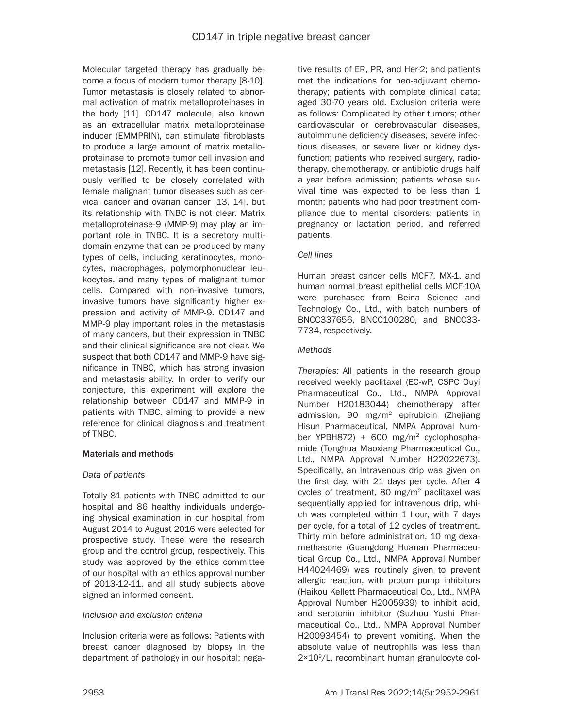Molecular targeted therapy has gradually become a focus of modern tumor therapy [8-10]. Tumor metastasis is closely related to abnormal activation of matrix metalloproteinases in the body [11]. CD147 molecule, also known as an extracellular matrix metalloproteinase inducer (EMMPRIN), can stimulate fibroblasts to produce a large amount of matrix metalloproteinase to promote tumor cell invasion and metastasis [12]. Recently, it has been continuously verified to be closely correlated with female malignant tumor diseases such as cervical cancer and ovarian cancer [13, 14], but its relationship with TNBC is not clear. Matrix metalloproteinase-9 (MMP-9) may play an important role in TNBC. It is a secretory multidomain enzyme that can be produced by many types of cells, including keratinocytes, monocytes, macrophages, polymorphonuclear leukocytes, and many types of malignant tumor cells. Compared with non-invasive tumors, invasive tumors have significantly higher expression and activity of MMP-9. CD147 and MMP-9 play important roles in the metastasis of many cancers, but their expression in TNBC and their clinical significance are not clear. We suspect that both CD147 and MMP-9 have significance in TNBC, which has strong invasion and metastasis ability. In order to verify our conjecture, this experiment will explore the relationship between CD147 and MMP-9 in patients with TNBC, aiming to provide a new reference for clinical diagnosis and treatment of TNBC.

# Materials and methods

# *Data of patients*

Totally 81 patients with TNBC admitted to our hospital and 86 healthy individuals undergoing physical examination in our hospital from August 2014 to August 2016 were selected for prospective study. These were the research group and the control group, respectively. This study was approved by the ethics committee of our hospital with an ethics approval number of 2013-12-11, and all study subjects above signed an informed consent.

# *Inclusion and exclusion criteria*

Inclusion criteria were as follows: Patients with breast cancer diagnosed by biopsy in the department of pathology in our hospital; nega-

tive results of ER, PR, and Her-2; and patients met the indications for neo-adjuvant chemotherapy; patients with complete clinical data; aged 30-70 years old. Exclusion criteria were as follows: Complicated by other tumors; other cardiovascular or cerebrovascular diseases, autoimmune deficiency diseases, severe infectious diseases, or severe liver or kidney dysfunction; patients who received surgery, radiotherapy, chemotherapy, or antibiotic drugs half a year before admission; patients whose survival time was expected to be less than 1 month; patients who had poor treatment compliance due to mental disorders; patients in pregnancy or lactation period, and referred patients.

# *Cell lines*

Human breast cancer cells MCF7, MX-1, and human normal breast epithelial cells MCF-10A were purchased from Beina Science and Technology Co., Ltd., with batch numbers of BNCC337656, BNCC100280, and BNCC33- 7734, respectively.

# *Methods*

*Therapies:* All patients in the research group received weekly paclitaxel (EC-wP, CSPC Ouyi Pharmaceutical Co., Ltd., NMPA Approval Number H20183044) chemotherapy after admission, 90 mg/m2 epirubicin (Zhejiang Hisun Pharmaceutical, NMPA Approval Number YPBH872) + 600 mg/m2 cyclophosphamide (Tonghua Maoxiang Pharmaceutical Co., Ltd., NMPA Approval Number H22022673). Specifically, an intravenous drip was given on the first day, with 21 days per cycle. After 4 cycles of treatment, 80 mg/m2 paclitaxel was sequentially applied for intravenous drip, which was completed within  $1$  hour, with  $7$  days per cycle, for a total of 12 cycles of treatment. Thirty min before administration, 10 mg dexamethasone (Guangdong Huanan Pharmaceutical Group Co., Ltd., NMPA Approval Number H44024469) was routinely given to prevent allergic reaction, with proton pump inhibitors (Haikou Kellett Pharmaceutical Co., Ltd., NMPA Approval Number H2005939) to inhibit acid, and serotonin inhibitor (Suzhou Yushi Pharmaceutical Co., Ltd., NMPA Approval Number H20093454) to prevent vomiting. When the absolute value of neutrophils was less than 2×109 /L, recombinant human granulocyte col-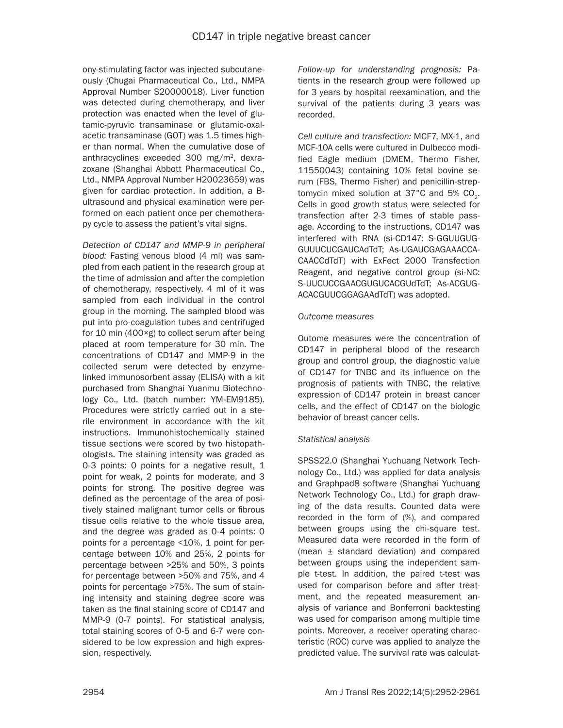ony-stimulating factor was injected subcutaneously (Chugai Pharmaceutical Co., Ltd., NMPA Approval Number S20000018). Liver function was detected during chemotherapy, and liver protection was enacted when the level of glutamic-pyruvic transaminase or glutamic-oxalacetic transaminase (GOT) was 1.5 times higher than normal. When the cumulative dose of anthracyclines exceeded 300 mg/m2, dexrazoxane (Shanghai Abbott Pharmaceutical Co., Ltd., NMPA Approval Number H20023659) was given for cardiac protection. In addition, a Bultrasound and physical examination were performed on each patient once per chemotherapy cycle to assess the patient's vital signs.

*Detection of CD147 and MMP-9 in peripheral blood:* Fasting venous blood (4 ml) was sampled from each patient in the research group at the time of admission and after the completion of chemotherapy, respectively. 4 ml of it was sampled from each individual in the control group in the morning. The sampled blood was put into pro-coagulation tubes and centrifuged for 10 min (400×g) to collect serum after being placed at room temperature for 30 min. The concentrations of CD147 and MMP-9 in the collected serum were detected by enzymelinked immunosorbent assay (ELISA) with a kit purchased from Shanghai Yuanmu Biotechnology Co., Ltd. (batch number: YM-EM9185). Procedures were strictly carried out in a sterile environment in accordance with the kit instructions. Immunohistochemically stained tissue sections were scored by two histopathologists. The staining intensity was graded as 0-3 points: 0 points for a negative result, 1 point for weak, 2 points for moderate, and 3 points for strong. The positive degree was defined as the percentage of the area of positively stained malignant tumor cells or fibrous tissue cells relative to the whole tissue area, and the degree was graded as 0-4 points: 0 points for a percentage <10%, 1 point for percentage between 10% and 25%, 2 points for percentage between >25% and 50%, 3 points for percentage between >50% and 75%, and 4 points for percentage >75%. The sum of staining intensity and staining degree score was taken as the final staining score of CD147 and MMP-9 (0-7 points). For statistical analysis, total staining scores of 0-5 and 6-7 were considered to be low expression and high expression, respectively.

*Follow-up for understanding prognosis:* Patients in the research group were followed up for 3 years by hospital reexamination, and the survival of the patients during 3 years was recorded.

*Cell culture and transfection:* MCF7, MX-1, and MCF-10A cells were cultured in Dulbecco modified Eagle medium (DMEM, Thermo Fisher, 11550043) containing 10% fetal bovine serum (FBS, Thermo Fisher) and penicillin-streptomycin mixed solution at  $37^{\circ}$ C and  $5\%$  CO<sub>2</sub>. Cells in good growth status were selected for transfection after 2-3 times of stable passage. According to the instructions, CD147 was interfered with RNA (si-CD147: S-GGUUGUG-GUUUCUCGAUCAdTdT; As-UGAUCGAGAAACCA-CAACCdTdT) with ExFect 2000 Transfection Reagent, and negative control group (si-NC: S-UUCUCCGAACGUGUCACGUdTdT; As-ACGUG-ACACGUUCGGAGAAdTdT) was adopted.

# *Outcome measures*

Outome measures were the concentration of CD147 in peripheral blood of the research group and control group, the diagnostic value of CD147 for TNBC and its influence on the prognosis of patients with TNBC, the relative expression of CD147 protein in breast cancer cells, and the effect of CD147 on the biologic behavior of breast cancer cells.

# *Statistical analysis*

SPSS22.0 (Shanghai Yuchuang Network Technology Co., Ltd.) was applied for data analysis and Graphpad8 software (Shanghai Yuchuang Network Technology Co., Ltd.) for graph drawing of the data results. Counted data were recorded in the form of (%), and compared between groups using the chi-square test. Measured data were recorded in the form of (mean ± standard deviation) and compared between groups using the independent sample t-test. In addition, the paired t-test was used for comparison before and after treatment, and the repeated measurement analysis of variance and Bonferroni backtesting was used for comparison among multiple time points. Moreover, a receiver operating characteristic (ROC) curve was applied to analyze the predicted value. The survival rate was calculat-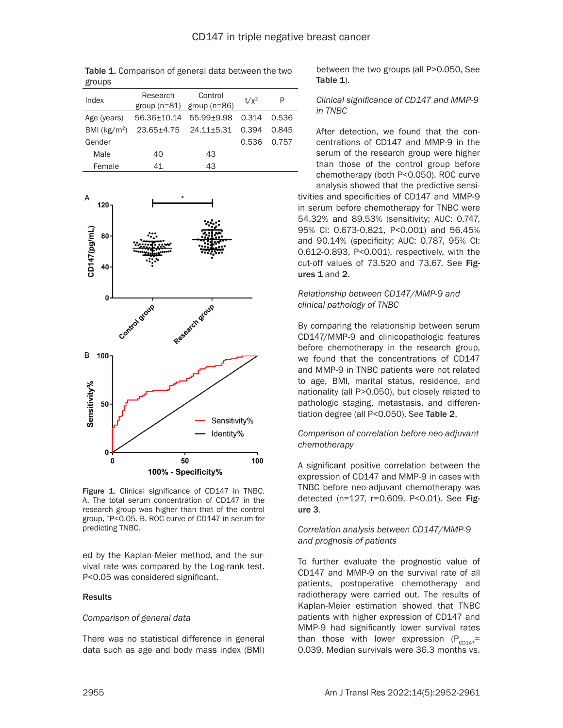| $\sim$ $\sim$ $\sim$ $\sim$ |                                   |                                          |         |       |
|-----------------------------|-----------------------------------|------------------------------------------|---------|-------|
| Index                       | Research                          | Control<br>group $(n=81)$ group $(n=86)$ | $t/x^2$ | P     |
| Age (years)                 | 56.36+10.14 55.99+9.98            |                                          | 0.314   | 0.536 |
| BMI ( $kg/m2$ )             | $23.65 \pm 4.75$ $24.11 \pm 5.31$ |                                          | 0.394   | 0.845 |
| Gender                      |                                   |                                          | 0.536   | 0.757 |
| Male                        | 40                                | 43                                       |         |       |
| Female                      | 41                                | 43                                       |         |       |

Table 1. Comparison of general data between the two

droups



Figure 1. Clinical significance of CD147 in TNBC. A. The total serum concentration of CD147 in the research group was higher than that of the control group, \*P<0.05. B. ROC curve of CD147 in serum for predicting TNBC.

ed by the Kaplan-Meier method, and the survival rate was compared by the Log-rank test. P<0.05 was considered significant.

#### Results

#### *Comparison of general data*

There was no statistical difference in general data such as age and body mass index (BMI)

between the two groups (all P>0.050, See Table 1).

## *Clinical significance of CD147 and MMP-9 in TNBC*

tivities and specificities of CD147 and MMP-9 in serum before chemotherapy for TNBC were After detection, we found that the concentrations of CD147 and MMP-9 in the serum of the research group were higher than those of the control group before chemotherapy (both P<0.050). ROC curve analysis showed that the predictive sensi-

54.32% and 89.53% (sensitivity; AUC: 0.747, 95% CI: 0.673-0.821, P<0.001) and 56.45% and 90.14% (specificity; AUC: 0.787, 95% CI: 0.612-0.893, P<0.001), respectively, with the cut-off values of 73.520 and 73.67. See Figures 1 and 2.

## *Relationship between CD147/MMP-9 and clinical pathology of TNBC*

By comparing the relationship between serum CD147/MMP-9 and clinicopathologic features before chemotherapy in the research group, we found that the concentrations of CD147 and MMP-9 in TNBC patients were not related to age, BMI, marital status, residence, and nationality (all P>0.050), but closely related to pathologic staging, metastasis, and differentiation degree (all P<0.050). See Table 2.

# *Comparison of correlation before neo-adjuvant chemotherapy*

A significant positive correlation between the expression of CD147 and MMP-9 in cases with TNBC before neo-adjuvant chemotherapy was detected (n=127, r=0.609, P<0.01). See Figure 3.

## *Correlation analysis between CD147/MMP-9 and prognosis of patients*

To further evaluate the prognostic value of CD147 and MMP-9 on the survival rate of all patients, postoperative chemotherapy and radiotherapy were carried out. The results of Kaplan-Meier estimation showed that TNBC patients with higher expression of CD147 and MMP-9 had significantly lower survival rates than those with lower expression  $(P_{c0147}$ = 0.039. Median survivals were 36.3 months vs.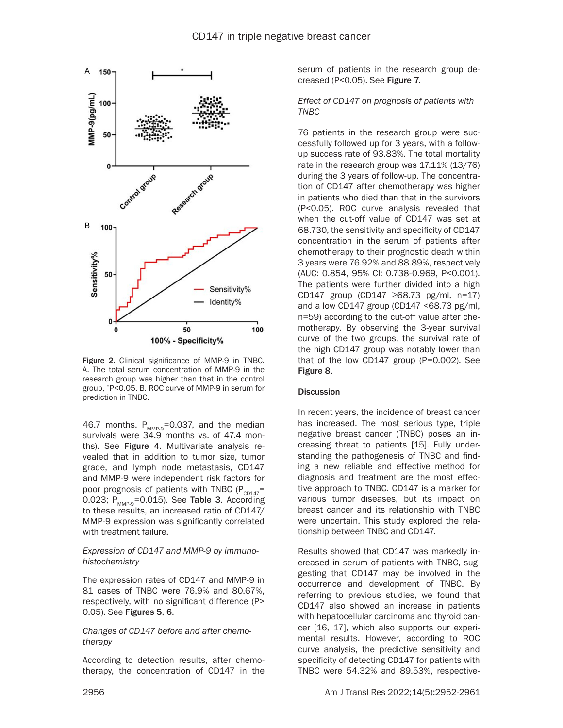

Figure 2. Clinical significance of MMP-9 in TNBC. A. The total serum concentration of MMP-9 in the research group was higher than that in the control group, \*P<0.05. B. ROC curve of MMP-9 in serum for prediction in TNBC.

46.7 months.  $P_{MMP-9}$ =0.037, and the median survivals were 34.9 months vs. of 47.4 months). See Figure 4. Multivariate analysis revealed that in addition to tumor size, tumor grade, and lymph node metastasis, CD147 and MMP-9 were independent risk factors for poor prognosis of patients with TNBC ( $P_{c}p_{147}=$ 0.023;  $P_{MMP-9}$ =0.015). See Table 3. According to these results, an increased ratio of CD147/ MMP-9 expression was significantly correlated with treatment failure.

## *Expression of CD147 and MMP-9 by immunohistochemistry*

The expression rates of CD147 and MMP-9 in 81 cases of TNBC were 76.9% and 80.67%, respectively, with no significant difference (P> 0.05). See Figures 5, 6.

*Changes of CD147 before and after chemotherapy*

According to detection results, after chemotherapy, the concentration of CD147 in the serum of patients in the research group decreased (P<0.05). See Figure 7.

*Effect of CD147 on prognosis of patients with TNBC*

76 patients in the research group were successfully followed up for 3 years, with a followup success rate of 93.83%. The total mortality rate in the research group was 17.11% (13/76) during the 3 years of follow-up. The concentration of CD147 after chemotherapy was higher in patients who died than that in the survivors (P<0.05). ROC curve analysis revealed that when the cut-off value of CD147 was set at 68.730, the sensitivity and specificity of CD147 concentration in the serum of patients after chemotherapy to their prognostic death within 3 years were 76.92% and 88.89%, respectively (AUC: 0.854, 95% CI: 0.738-0.969, P<0.001). The patients were further divided into a high CD147 group (CD147 ≥68.73 pg/ml, n=17) and a low CD147 group (CD147 <68.73 pg/ml, n=59) according to the cut-off value after chemotherapy. By observing the 3-year survival curve of the two groups, the survival rate of the high CD147 group was notably lower than that of the low CD147 group (P=0.002). See Figure 8.

# **Discussion**

In recent years, the incidence of breast cancer has increased. The most serious type, triple negative breast cancer (TNBC) poses an increasing threat to patients [15]. Fully understanding the pathogenesis of TNBC and finding a new reliable and effective method for diagnosis and treatment are the most effective approach to TNBC. CD147 is a marker for various tumor diseases, but its impact on breast cancer and its relationship with TNBC were uncertain. This study explored the relationship between TNBC and CD147.

Results showed that CD147 was markedly increased in serum of patients with TNBC, suggesting that CD147 may be involved in the occurrence and development of TNBC. By referring to previous studies, we found that CD147 also showed an increase in patients with hepatocellular carcinoma and thyroid cancer [16, 17], which also supports our experimental results. However, according to ROC curve analysis, the predictive sensitivity and specificity of detecting CD147 for patients with TNBC were 54.32% and 89.53%, respective-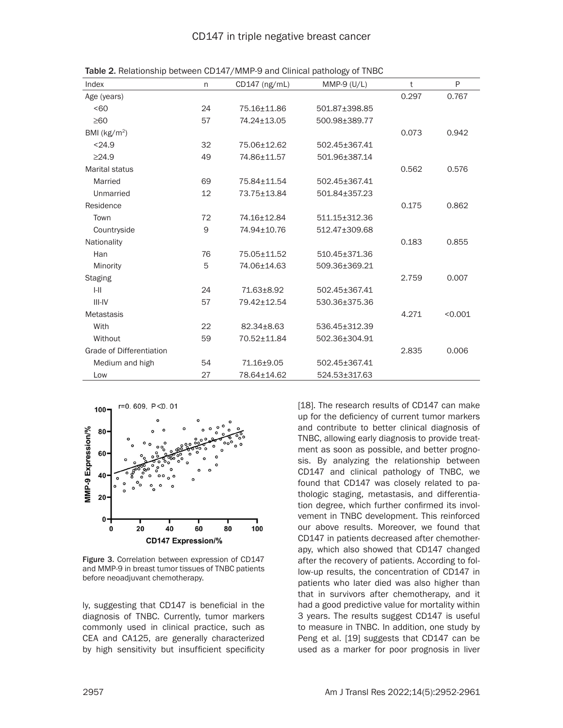| Index                           | n  | $CD147$ (ng/mL) | MMP-9 $(U/L)$ | t     | P       |
|---------------------------------|----|-----------------|---------------|-------|---------|
| Age (years)                     |    |                 |               | 0.297 | 0.767   |
| 50 <sub>60</sub>                | 24 | 75.16±11.86     | 501.87±398.85 |       |         |
| $\geq 60$                       | 57 | 74.24±13.05     | 500.98±389.77 |       |         |
| BMI ( $kg/m2$ )                 |    |                 |               | 0.073 | 0.942   |
| < 24.9                          | 32 | 75.06±12.62     | 502.45±367.41 |       |         |
| $\geq$ 24.9                     | 49 | 74.86±11.57     | 501.96±387.14 |       |         |
| <b>Marital status</b>           |    |                 |               | 0.562 | 0.576   |
| Married                         | 69 | 75.84±11.54     | 502.45±367.41 |       |         |
| Unmarried                       | 12 | 73.75±13.84     | 501.84±357.23 |       |         |
| Residence                       |    |                 |               | 0.175 | 0.862   |
| Town                            | 72 | 74.16±12.84     | 511.15±312.36 |       |         |
| Countryside                     | 9  | 74.94±10.76     | 512.47±309.68 |       |         |
| Nationality                     |    |                 |               | 0.183 | 0.855   |
| Han                             | 76 | 75.05±11.52     | 510.45±371.36 |       |         |
| Minority                        | 5  | 74.06±14.63     | 509.36±369.21 |       |         |
| <b>Staging</b>                  |    |                 |               | 2.759 | 0.007   |
| $I-II$                          | 24 | 71.63±8.92      | 502.45±367.41 |       |         |
| III-IV                          | 57 | 79.42±12.54     | 530.36±375.36 |       |         |
| <b>Metastasis</b>               |    |                 |               | 4.271 | < 0.001 |
| With                            | 22 | 82.34±8.63      | 536.45±312.39 |       |         |
| Without                         | 59 | 70.52±11.84     | 502.36±304.91 |       |         |
| <b>Grade of Differentiation</b> |    |                 |               | 2.835 | 0.006   |
| Medium and high                 | 54 | 71.16±9.05      | 502.45±367.41 |       |         |
| Low                             | 27 | 78.64±14.62     | 524.53±317.63 |       |         |

Table 2. Relationship between CD147/MMP-9 and Clinical pathology of TNBC



Figure 3. Correlation between expression of CD147 and MMP-9 in breast tumor tissues of TNBC patients before neoadjuvant chemotherapy.

ly, suggesting that CD147 is beneficial in the diagnosis of TNBC. Currently, tumor markers commonly used in clinical practice, such as CEA and CA125, are generally characterized by high sensitivity but insufficient specificity

[18]. The research results of CD147 can make up for the deficiency of current tumor markers and contribute to better clinical diagnosis of TNBC, allowing early diagnosis to provide treatment as soon as possible, and better prognosis. By analyzing the relationship between CD147 and clinical pathology of TNBC, we found that CD147 was closely related to pathologic staging, metastasis, and differentiation degree, which further confirmed its involvement in TNBC development. This reinforced our above results. Moreover, we found that CD147 in patients decreased after chemotherapy, which also showed that CD147 changed after the recovery of patients. According to follow-up results, the concentration of CD147 in patients who later died was also higher than that in survivors after chemotherapy, and it had a good predictive value for mortality within 3 years. The results suggest CD147 is useful to measure in TNBC. In addition, one study by Peng et al. [19] suggests that CD147 can be used as a marker for poor prognosis in liver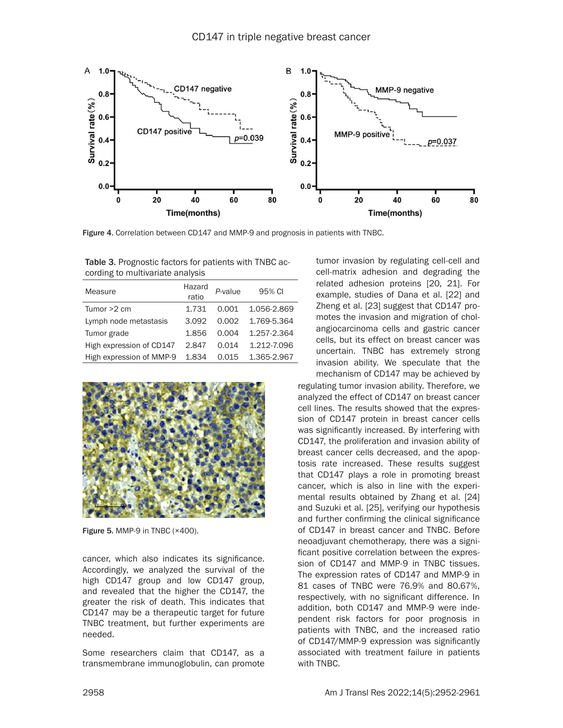

Figure 4. Correlation between CD147 and MMP-9 and prognosis in patients with TNBC.

Table 3. Prognostic factors for patients with TNBC according to multivariate analysis

| Measure                  | Hazard<br>ratio | P-value | 95% CI      |
|--------------------------|-----------------|---------|-------------|
| Tumor $>2$ cm            | 1.731           | 0.001   | 1.056-2.869 |
| Lymph node metastasis    | 3.092           | 0.002   | 1.769-5.364 |
| Tumor grade              | 1.856           | 0.004   | 1.257-2.364 |
| High expression of CD147 | 2.847           | 0.014   | 1.212-7.096 |
| High expression of MMP-9 | 1.834           | 0.015   | 1.365-2.967 |



Figure 5. MMP-9 in TNBC (×400).

cancer, which also indicates its significance. Accordingly, we analyzed the survival of the high CD147 group and low CD147 group, and revealed that the higher the CD147, the greater the risk of death. This indicates that CD147 may be a therapeutic target for future TNBC treatment, but further experiments are needed.

Some researchers claim that CD147, as a transmembrane immunoglobulin, can promote tumor invasion by regulating cell-cell and cell-matrix adhesion and degrading the related adhesion proteins [20, 21]. For example, studies of Dana et al. [22] and Zheng et al. [23] suggest that CD147 promotes the invasion and migration of cholangiocarcinoma cells and gastric cancer cells, but its effect on breast cancer was uncertain. TNBC has extremely strong invasion ability. We speculate that the mechanism of CD147 may be achieved by

regulating tumor invasion ability. Therefore, we analyzed the effect of CD147 on breast cancer cell lines. The results showed that the expression of CD147 protein in breast cancer cells was significantly increased. By interfering with CD147, the proliferation and invasion ability of breast cancer cells decreased, and the apoptosis rate increased. These results suggest that CD147 plays a role in promoting breast cancer, which is also in line with the experimental results obtained by Zhang et al. [24] and Suzuki et al. [25], verifying our hypothesis and further confirming the clinical significance of CD147 in breast cancer and TNBC. Before neoadjuvant chemotherapy, there was a significant positive correlation between the expression of CD147 and MMP-9 in TNBC tissues. The expression rates of CD147 and MMP-9 in 81 cases of TNBC were 76.9% and 80.67%, respectively, with no significant difference. In addition, both CD147 and MMP-9 were independent risk factors for poor prognosis in patients with TNBC, and the increased ratio of CD147/MMP-9 expression was significantly associated with treatment failure in patients with TNBC.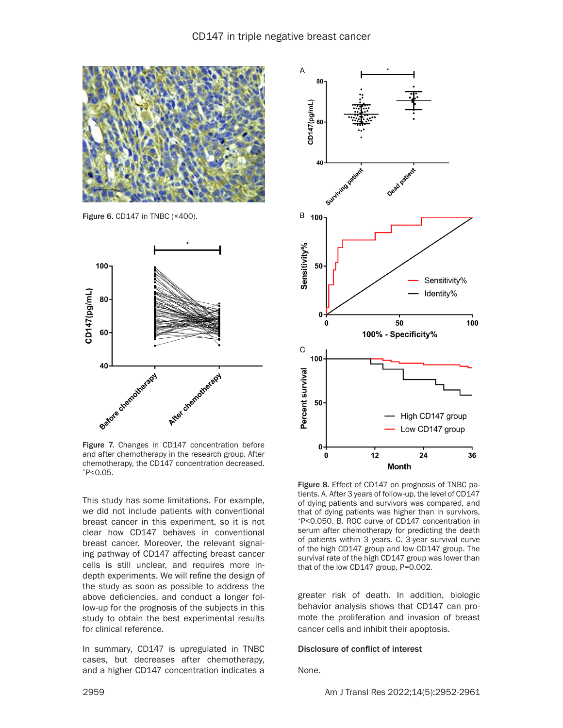

Figure 6. CD147 in TNBC (×400).



Figure 7. Changes in CD147 concentration before and after chemotherapy in the research group. After chemotherapy, the CD147 concentration decreased. \*P<0.05.

This study has some limitations. For example, we did not include patients with conventional breast cancer in this experiment, so it is not clear how CD147 behaves in conventional breast cancer. Moreover, the relevant signaling pathway of CD147 affecting breast cancer cells is still unclear, and requires more indepth experiments. We will refine the design of the study as soon as possible to address the above deficiencies, and conduct a longer follow-up for the prognosis of the subjects in this study to obtain the best experimental results for clinical reference.

In summary, CD147 is upregulated in TNBC cases, but decreases after chemotherapy, and a higher CD147 concentration indicates a



Figure 8. Effect of CD147 on prognosis of TNBC patients. A. After 3 years of follow-up, the level of CD147 of dying patients and survivors was compared, and that of dying patients was higher than in survivors, \*P<0.050. B. ROC curve of CD147 concentration in serum after chemotherapy for predicting the death of patients within 3 years. C. 3-year survival curve of the high CD147 group and low CD147 group. The survival rate of the high CD147 group was lower than that of the low CD147 group, P=0.002.

greater risk of death. In addition, biologic behavior analysis shows that CD147 can promote the proliferation and invasion of breast cancer cells and inhibit their apoptosis.

#### Disclosure of conflict of interest

None.

2959 Am J Transl Res 2022;14(5):2952-2961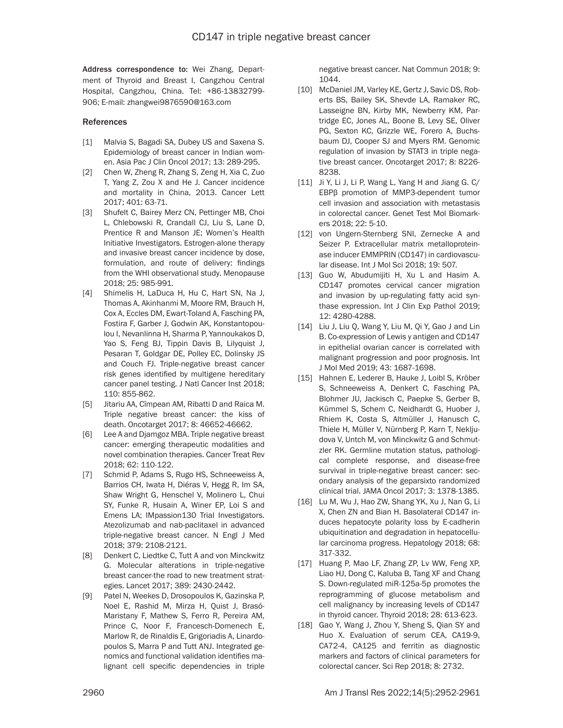Address correspondence to: Wei Zhang, Department of Thyroid and Breast I, Cangzhou Central Hospital, Cangzhou, China. Tel: +86-13832799- 906; E-mail: [zhangwei9876590@163.com](mailto:zhangwei9876590@163.com)

# References

- [1] Malvia S, Bagadi SA, Dubey US and Saxena S. Epidemiology of breast cancer in Indian women. Asia Pac J Clin Oncol 2017; 13: 289-295.
- [2] Chen W, Zheng R, Zhang S, Zeng H, Xia C, Zuo T, Yang Z, Zou X and He J. Cancer incidence and mortality in China, 2013. Cancer Lett 2017; 401: 63-71.
- [3] Shufelt C, Bairey Merz CN, Pettinger MB, Choi L, Chlebowski R, Crandall CJ, Liu S, Lane D, Prentice R and Manson JE; Women's Health Initiative Investigators. Estrogen-alone therapy and invasive breast cancer incidence by dose, formulation, and route of delivery: findings from the WHI observational study. Menopause 2018; 25: 985-991.
- [4] Shimelis H, LaDuca H, Hu C, Hart SN, Na J, Thomas A, Akinhanmi M, Moore RM, Brauch H, Cox A, Eccles DM, Ewart-Toland A, Fasching PA, Fostira F, Garber J, Godwin AK, Konstantopoulou I, Nevanlinna H, Sharma P, Yannoukakos D, Yao S, Feng BJ, Tippin Davis B, Lilyquist J, Pesaran T, Goldgar DE, Polley EC, Dolinsky JS and Couch FJ. Triple-negative breast cancer risk genes identified by multigene hereditary cancer panel testing. J Natl Cancer Inst 2018; 110: 855-862.
- [5] Jitariu AA, Cîmpean AM, Ribatti D and Raica M. Triple negative breast cancer: the kiss of death. Oncotarget 2017; 8: 46652-46662.
- [6] Lee A and Djamgoz MBA. Triple negative breast cancer: emerging therapeutic modalities and novel combination therapies. Cancer Treat Rev 2018; 62: 110-122.
- [7] Schmid P, Adams S, Rugo HS, Schneeweiss A, Barrios CH, Iwata H, Diéras V, Hegg R, Im SA, Shaw Wright G, Henschel V, Molinero L, Chui SY, Funke R, Husain A, Winer EP, Loi S and Emens LA; IMpassion130 Trial Investigators. Atezolizumab and nab-paclitaxel in advanced triple-negative breast cancer. N Engl J Med 2018; 379: 2108-2121.
- [8] Denkert C, Liedtke C, Tutt A and von Minckwitz G. Molecular alterations in triple-negative breast cancer-the road to new treatment strategies. Lancet 2017; 389: 2430-2442.
- [9] Patel N, Weekes D, Drosopoulos K, Gazinska P, Noel E, Rashid M, Mirza H, Quist J, Brasó-Maristany F, Mathew S, Ferro R, Pereira AM, Prince C, Noor F, Francesch-Domenech E, Marlow R, de Rinaldis E, Grigoriadis A, Linardopoulos S, Marra P and Tutt ANJ. Integrated genomics and functional validation identifies malignant cell specific dependencies in triple

negative breast cancer. Nat Commun 2018; 9: 1044.

- [10] McDaniel JM, Varley KE, Gertz J, Savic DS, Roberts BS, Bailey SK, Shevde LA, Ramaker RC, Lasseigne BN, Kirby MK, Newberry KM, Partridge EC, Jones AL, Boone B, Levy SE, Oliver PG, Sexton KC, Grizzle WE, Forero A, Buchsbaum DJ, Cooper SJ and Myers RM. Genomic regulation of invasion by STAT3 in triple negative breast cancer. Oncotarget 2017; 8: 8226- 8238.
- [11] Ji Y, Li J, Li P, Wang L, Yang H and Jiang G. C/ EBPβ promotion of MMP3-dependent tumor cell invasion and association with metastasis in colorectal cancer. Genet Test Mol Biomarkers 2018; 22: 5-10.
- [12] von Ungern-Sternberg SNI, Zernecke A and Seizer P. Extracellular matrix metalloproteinase inducer EMMPRIN (CD147) in cardiovascular disease. Int J Mol Sci 2018; 19: 507.
- [13] Guo W, Abudumijiti H, Xu L and Hasim A. CD147 promotes cervical cancer migration and invasion by up-regulating fatty acid synthase expression. Int J Clin Exp Pathol 2019; 12: 4280-4288.
- [14] Liu J, Liu Q, Wang Y, Liu M, Qi Y, Gao J and Lin B. Co‑expression of Lewis y antigen and CD147 in epithelial ovarian cancer is correlated with malignant progression and poor prognosis. Int J Mol Med 2019; 43: 1687-1698.
- [15] Hahnen E, Lederer B, Hauke J, Loibl S, Kröber S, Schneeweiss A, Denkert C, Fasching PA, Blohmer JU, Jackisch C, Paepke S, Gerber B, Kümmel S, Schem C, Neidhardt G, Huober J, Rhiem K, Costa S, Altmüller J, Hanusch C, Thiele H, Müller V, Nürnberg P, Karn T, Nekljudova V, Untch M, von Minckwitz G and Schmutzler RK. Germline mutation status, pathological complete response, and disease-free survival in triple-negative breast cancer: secondary analysis of the geparsixto randomized clinical trial. JAMA Oncol 2017; 3: 1378-1385.
- [16] Lu M, Wu J, Hao ZW, Shang YK, Xu J, Nan G, Li X, Chen ZN and Bian H. Basolateral CD147 induces hepatocyte polarity loss by E-cadherin ubiquitination and degradation in hepatocellular carcinoma progress. Hepatology 2018; 68: 317-332.
- [17] Huang P, Mao LF, Zhang ZP, Lv WW, Feng XP, Liao HJ, Dong C, Kaluba B, Tang XF and Chang S. Down-regulated miR-125a-5p promotes the reprogramming of glucose metabolism and cell malignancy by increasing levels of CD147 in thyroid cancer. Thyroid 2018; 28: 613-623.
- [18] Gao Y, Wang J, Zhou Y, Sheng S, Qian SY and Huo X. Evaluation of serum CEA, CA19-9, CA72-4, CA125 and ferritin as diagnostic markers and factors of clinical parameters for colorectal cancer. Sci Rep 2018; 8: 2732.